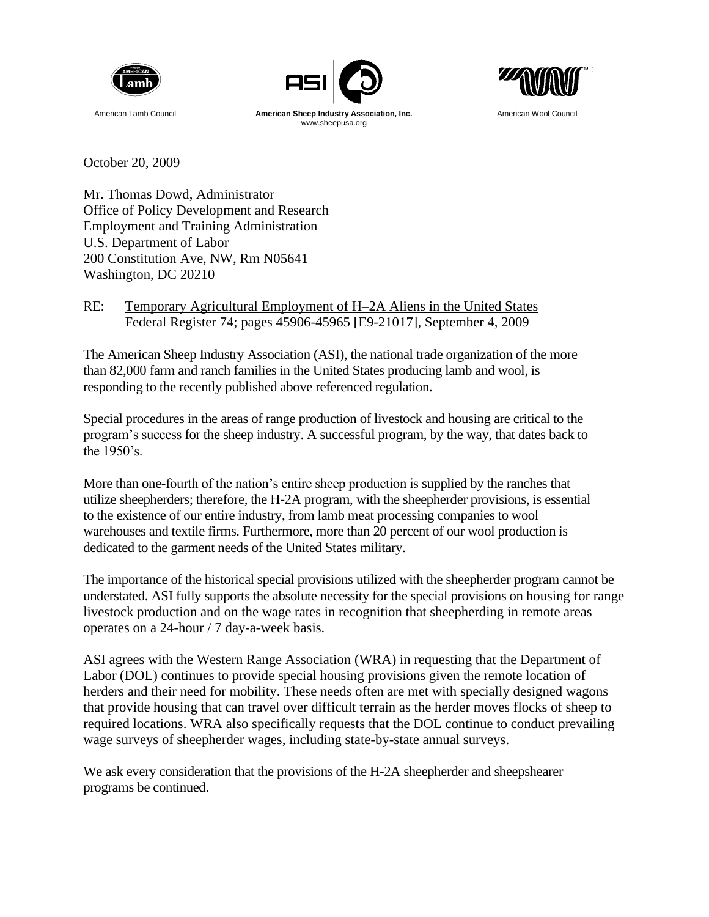





October 20, 2009

Mr. Thomas Dowd, Administrator Office of Policy Development and Research Employment and Training Administration U.S. Department of Labor 200 Constitution Ave, NW, Rm N05641 Washington, DC 20210

RE: Temporary Agricultural Employment of H–2A Aliens in the United States Federal Register 74; pages 45906-45965 [E9-21017], September 4, 2009

The American Sheep Industry Association (ASI), the national trade organization of the more than 82,000 farm and ranch families in the United States producing lamb and wool, is responding to the recently published above referenced regulation.

Special procedures in the areas of range production of livestock and housing are critical to the program's success for the sheep industry. A successful program, by the way, that dates back to the 1950's.

More than one-fourth of the nation's entire sheep production is supplied by the ranches that utilize sheepherders; therefore, the H-2A program, with the sheepherder provisions, is essential to the existence of our entire industry, from lamb meat processing companies to wool warehouses and textile firms. Furthermore, more than 20 percent of our wool production is dedicated to the garment needs of the United States military.

The importance of the historical special provisions utilized with the sheepherder program cannot be understated. ASI fully supports the absolute necessity for the special provisions on housing for range livestock production and on the wage rates in recognition that sheepherding in remote areas operates on a 24-hour / 7 day-a-week basis.

ASI agrees with the Western Range Association (WRA) in requesting that the Department of Labor (DOL) continues to provide special housing provisions given the remote location of herders and their need for mobility. These needs often are met with specially designed wagons that provide housing that can travel over difficult terrain as the herder moves flocks of sheep to required locations. WRA also specifically requests that the DOL continue to conduct prevailing wage surveys of sheepherder wages, including state-by-state annual surveys.

We ask every consideration that the provisions of the H-2A sheepherder and sheepshearer programs be continued.